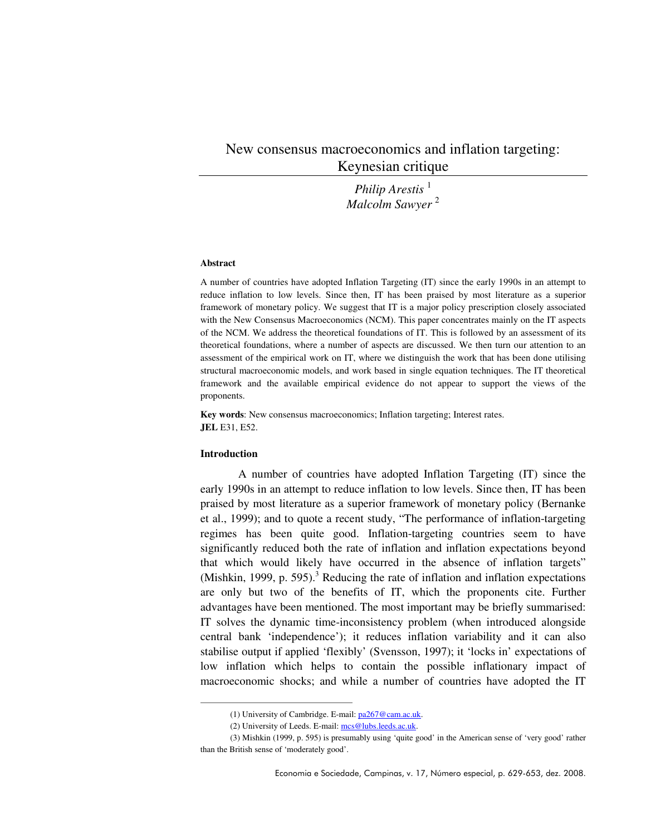# New consensus macroeconomics and inflation targeting: Keynesian critique

*Philip Arestis* <sup>1</sup> *Malcolm Sawyer* <sup>2</sup>

### **Abstract**

A number of countries have adopted Inflation Targeting (IT) since the early 1990s in an attempt to reduce inflation to low levels. Since then, IT has been praised by most literature as a superior framework of monetary policy. We suggest that IT is a major policy prescription closely associated with the New Consensus Macroeconomics (NCM). This paper concentrates mainly on the IT aspects of the NCM. We address the theoretical foundations of IT. This is followed by an assessment of its theoretical foundations, where a number of aspects are discussed. We then turn our attention to an assessment of the empirical work on IT, where we distinguish the work that has been done utilising structural macroeconomic models, and work based in single equation techniques. The IT theoretical framework and the available empirical evidence do not appear to support the views of the proponents.

**Key words**: New consensus macroeconomics; Inflation targeting; Interest rates. **JEL** E31, E52.

# **Introduction**

 $\overline{a}$ 

A number of countries have adopted Inflation Targeting (IT) since the early 1990s in an attempt to reduce inflation to low levels. Since then, IT has been praised by most literature as a superior framework of monetary policy (Bernanke et al., 1999); and to quote a recent study, "The performance of inflation-targeting regimes has been quite good. Inflation-targeting countries seem to have significantly reduced both the rate of inflation and inflation expectations beyond that which would likely have occurred in the absence of inflation targets" (Mishkin, 1999, p. 595). $3$  Reducing the rate of inflation and inflation expectations are only but two of the benefits of IT, which the proponents cite. Further advantages have been mentioned. The most important may be briefly summarised: IT solves the dynamic time-inconsistency problem (when introduced alongside central bank 'independence'); it reduces inflation variability and it can also stabilise output if applied 'flexibly' (Svensson, 1997); it 'locks in' expectations of low inflation which helps to contain the possible inflationary impact of macroeconomic shocks; and while a number of countries have adopted the IT

<sup>(1)</sup> University of Cambridge. E-mail: pa267@cam.ac.uk.

<sup>(2)</sup> University of Leeds. E-mail: mcs@lubs.leeds.ac.uk.

<sup>(3)</sup> Mishkin (1999, p. 595) is presumably using 'quite good' in the American sense of 'very good' rather than the British sense of 'moderately good'.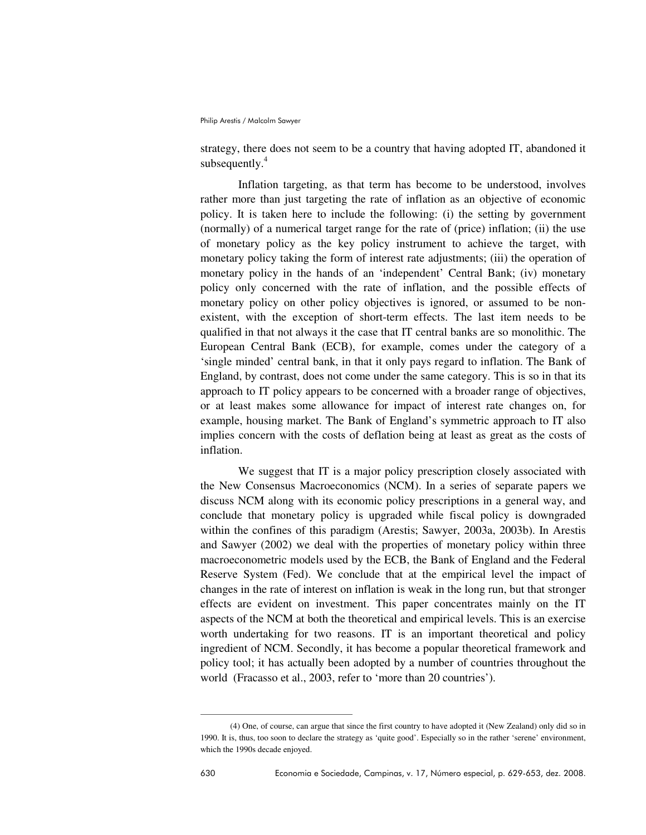strategy, there does not seem to be a country that having adopted IT, abandoned it subsequently. $4$ 

Inflation targeting, as that term has become to be understood, involves rather more than just targeting the rate of inflation as an objective of economic policy. It is taken here to include the following: (i) the setting by government (normally) of a numerical target range for the rate of (price) inflation; (ii) the use of monetary policy as the key policy instrument to achieve the target, with monetary policy taking the form of interest rate adjustments; (iii) the operation of monetary policy in the hands of an 'independent' Central Bank; (iv) monetary policy only concerned with the rate of inflation, and the possible effects of monetary policy on other policy objectives is ignored, or assumed to be nonexistent, with the exception of short-term effects. The last item needs to be qualified in that not always it the case that IT central banks are so monolithic. The European Central Bank (ECB), for example, comes under the category of a 'single minded' central bank, in that it only pays regard to inflation. The Bank of England, by contrast, does not come under the same category. This is so in that its approach to IT policy appears to be concerned with a broader range of objectives, or at least makes some allowance for impact of interest rate changes on, for example, housing market. The Bank of England's symmetric approach to IT also implies concern with the costs of deflation being at least as great as the costs of inflation.

We suggest that IT is a major policy prescription closely associated with the New Consensus Macroeconomics (NCM). In a series of separate papers we discuss NCM along with its economic policy prescriptions in a general way, and conclude that monetary policy is upgraded while fiscal policy is downgraded within the confines of this paradigm (Arestis; Sawyer, 2003a, 2003b). In Arestis and Sawyer (2002) we deal with the properties of monetary policy within three macroeconometric models used by the ECB, the Bank of England and the Federal Reserve System (Fed). We conclude that at the empirical level the impact of changes in the rate of interest on inflation is weak in the long run, but that stronger effects are evident on investment. This paper concentrates mainly on the IT aspects of the NCM at both the theoretical and empirical levels. This is an exercise worth undertaking for two reasons. IT is an important theoretical and policy ingredient of NCM. Secondly, it has become a popular theoretical framework and policy tool; it has actually been adopted by a number of countries throughout the world (Fracasso et al., 2003, refer to 'more than 20 countries').

<sup>(4)</sup> One, of course, can argue that since the first country to have adopted it (New Zealand) only did so in 1990. It is, thus, too soon to declare the strategy as 'quite good'. Especially so in the rather 'serene' environment, which the 1990s decade enjoyed.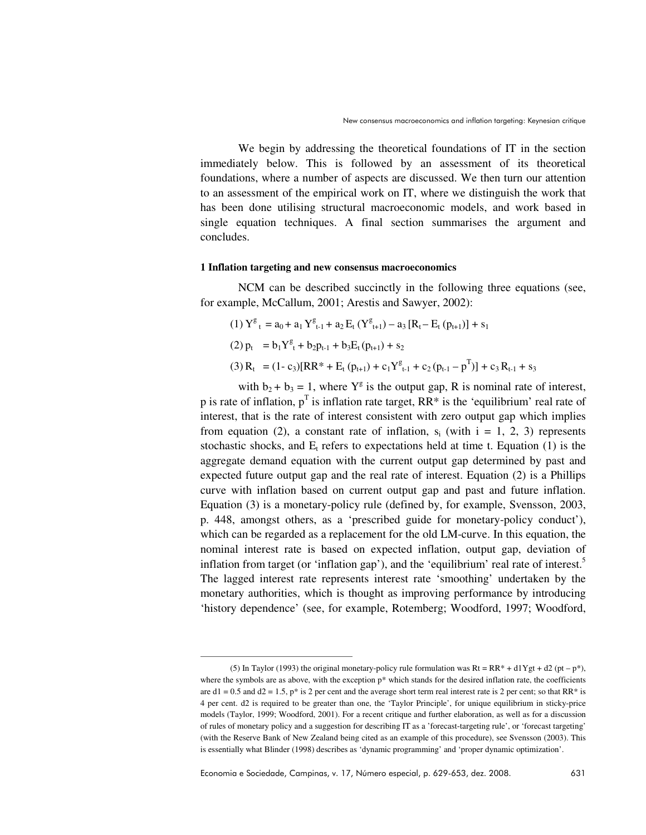We begin by addressing the theoretical foundations of IT in the section immediately below. This is followed by an assessment of its theoretical foundations, where a number of aspects are discussed. We then turn our attention to an assessment of the empirical work on IT, where we distinguish the work that has been done utilising structural macroeconomic models, and work based in single equation techniques. A final section summarises the argument and concludes.

# **1 Inflation targeting and new consensus macroeconomics**

NCM can be described succinctly in the following three equations (see, for example, McCallum, 2001; Arestis and Sawyer, 2002):

- (1)  $Y_{t}^{g} = a_0 + a_1 Y_{t-1}^{g} + a_2 E_t (Y_{t+1}^{g}) a_3 [R_t E_t (p_{t+1})] + s_1$  $(2) p_t = b_1 Y_{t}^g + b_2 p_{t-1} + b_3 E_t (p_{t+1}) + s_2$
- (3) R<sub>t</sub> = (1- c<sub>3</sub>)[RR<sup>\*</sup> + E<sub>t</sub> (p<sub>t+1</sub>) + c<sub>1</sub>Y<sup>g</sup><sub>t-1</sub> + c<sub>2</sub> (p<sub>t-1</sub> p<sup>T</sup>)] + c<sub>3</sub>R<sub>t-1</sub> + s<sub>3</sub>

with  $b_2 + b_3 = 1$ , where  $Y^g$  is the output gap, R is nominal rate of interest, p is rate of inflation,  $p^T$  is inflation rate target, RR<sup>\*</sup> is the 'equilibrium' real rate of interest, that is the rate of interest consistent with zero output gap which implies from equation (2), a constant rate of inflation,  $s_i$  (with  $i = 1, 2, 3$ ) represents stochastic shocks, and  $E_t$  refers to expectations held at time t. Equation (1) is the aggregate demand equation with the current output gap determined by past and expected future output gap and the real rate of interest. Equation (2) is a Phillips curve with inflation based on current output gap and past and future inflation. Equation (3) is a monetary-policy rule (defined by, for example, Svensson, 2003, p. 448, amongst others, as a 'prescribed guide for monetary-policy conduct'), which can be regarded as a replacement for the old LM-curve. In this equation, the nominal interest rate is based on expected inflation, output gap, deviation of inflation from target (or 'inflation gap'), and the 'equilibrium' real rate of interest.<sup>5</sup> The lagged interest rate represents interest rate 'smoothing' undertaken by the monetary authorities, which is thought as improving performance by introducing 'history dependence' (see, for example, Rotemberg; Woodford, 1997; Woodford,

<sup>(5)</sup> In Taylor (1993) the original monetary-policy rule formulation was  $Rt = RR^* + dYgt + d2$  (pt – p<sup>\*</sup>), where the symbols are as above, with the exception  $p^*$  which stands for the desired inflation rate, the coefficients are  $d1 = 0.5$  and  $d2 = 1.5$ ,  $p^*$  is 2 per cent and the average short term real interest rate is 2 per cent; so that RR<sup>\*</sup> is 4 per cent. d2 is required to be greater than one, the 'Taylor Principle', for unique equilibrium in sticky-price models (Taylor, 1999; Woodford, 2001). For a recent critique and further elaboration, as well as for a discussion of rules of monetary policy and a suggestion for describing IT as a 'forecast-targeting rule', or 'forecast targeting' (with the Reserve Bank of New Zealand being cited as an example of this procedure), see Svensson (2003). This is essentially what Blinder (1998) describes as 'dynamic programming' and 'proper dynamic optimization'.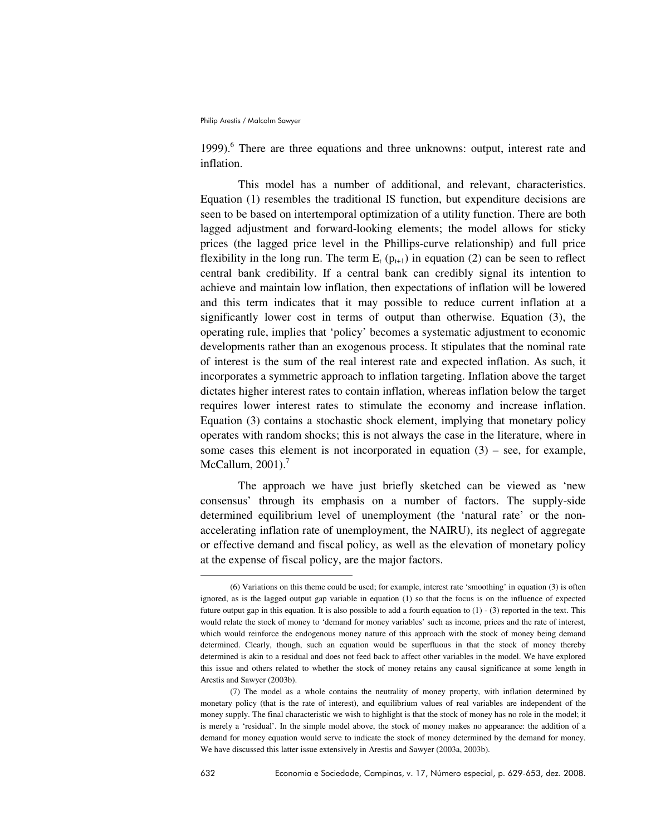1999).<sup>6</sup> There are three equations and three unknowns: output, interest rate and inflation.

This model has a number of additional, and relevant, characteristics. Equation (1) resembles the traditional IS function, but expenditure decisions are seen to be based on intertemporal optimization of a utility function. There are both lagged adjustment and forward-looking elements; the model allows for sticky prices (the lagged price level in the Phillips-curve relationship) and full price flexibility in the long run. The term  $E_t$  ( $p_{t+1}$ ) in equation (2) can be seen to reflect central bank credibility. If a central bank can credibly signal its intention to achieve and maintain low inflation, then expectations of inflation will be lowered and this term indicates that it may possible to reduce current inflation at a significantly lower cost in terms of output than otherwise. Equation (3), the operating rule, implies that 'policy' becomes a systematic adjustment to economic developments rather than an exogenous process. It stipulates that the nominal rate of interest is the sum of the real interest rate and expected inflation. As such, it incorporates a symmetric approach to inflation targeting. Inflation above the target dictates higher interest rates to contain inflation, whereas inflation below the target requires lower interest rates to stimulate the economy and increase inflation. Equation (3) contains a stochastic shock element, implying that monetary policy operates with random shocks; this is not always the case in the literature, where in some cases this element is not incorporated in equation  $(3)$  – see, for example, McCallum,  $2001$ ).<sup>7</sup>

The approach we have just briefly sketched can be viewed as 'new consensus' through its emphasis on a number of factors. The supply-side determined equilibrium level of unemployment (the 'natural rate' or the nonaccelerating inflation rate of unemployment, the NAIRU), its neglect of aggregate or effective demand and fiscal policy, as well as the elevation of monetary policy at the expense of fiscal policy, are the major factors.

<sup>(6)</sup> Variations on this theme could be used; for example, interest rate 'smoothing' in equation (3) is often ignored, as is the lagged output gap variable in equation (1) so that the focus is on the influence of expected future output gap in this equation. It is also possible to add a fourth equation to (1) - (3) reported in the text. This would relate the stock of money to 'demand for money variables' such as income, prices and the rate of interest, which would reinforce the endogenous money nature of this approach with the stock of money being demand determined. Clearly, though, such an equation would be superfluous in that the stock of money thereby determined is akin to a residual and does not feed back to affect other variables in the model. We have explored this issue and others related to whether the stock of money retains any causal significance at some length in Arestis and Sawyer (2003b).

<sup>(7)</sup> The model as a whole contains the neutrality of money property, with inflation determined by monetary policy (that is the rate of interest), and equilibrium values of real variables are independent of the money supply. The final characteristic we wish to highlight is that the stock of money has no role in the model; it is merely a 'residual'. In the simple model above, the stock of money makes no appearance: the addition of a demand for money equation would serve to indicate the stock of money determined by the demand for money. We have discussed this latter issue extensively in Arestis and Sawyer (2003a, 2003b).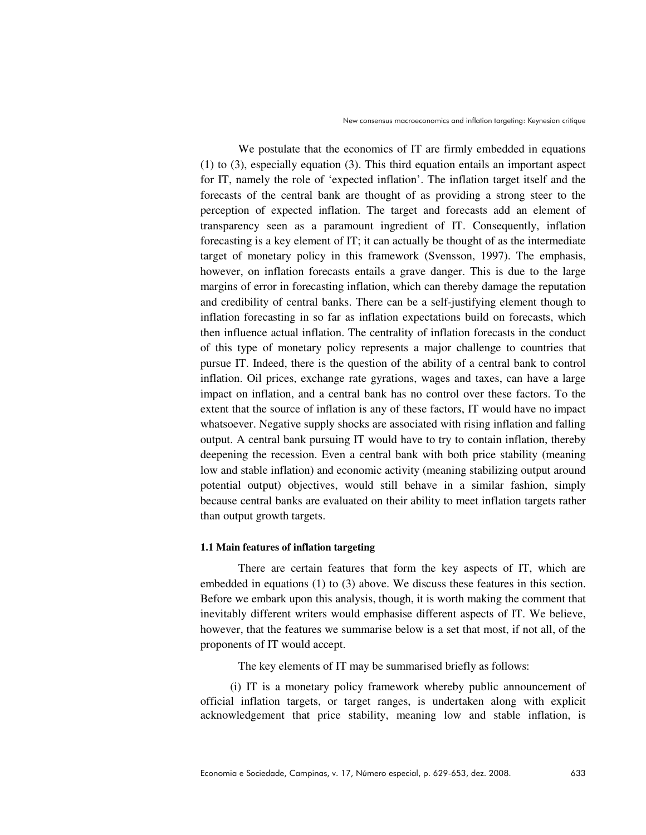New consensus macroeconomics and inflation targeting: Keynesian critique

We postulate that the economics of IT are firmly embedded in equations (1) to (3), especially equation (3). This third equation entails an important aspect for IT, namely the role of 'expected inflation'. The inflation target itself and the forecasts of the central bank are thought of as providing a strong steer to the perception of expected inflation. The target and forecasts add an element of transparency seen as a paramount ingredient of IT. Consequently, inflation forecasting is a key element of IT; it can actually be thought of as the intermediate target of monetary policy in this framework (Svensson, 1997). The emphasis, however, on inflation forecasts entails a grave danger. This is due to the large margins of error in forecasting inflation, which can thereby damage the reputation and credibility of central banks. There can be a self-justifying element though to inflation forecasting in so far as inflation expectations build on forecasts, which then influence actual inflation. The centrality of inflation forecasts in the conduct of this type of monetary policy represents a major challenge to countries that pursue IT. Indeed, there is the question of the ability of a central bank to control inflation. Oil prices, exchange rate gyrations, wages and taxes, can have a large impact on inflation, and a central bank has no control over these factors. To the extent that the source of inflation is any of these factors, IT would have no impact whatsoever. Negative supply shocks are associated with rising inflation and falling output. A central bank pursuing IT would have to try to contain inflation, thereby deepening the recession. Even a central bank with both price stability (meaning low and stable inflation) and economic activity (meaning stabilizing output around potential output) objectives, would still behave in a similar fashion, simply because central banks are evaluated on their ability to meet inflation targets rather than output growth targets.

### **1.1 Main features of inflation targeting**

There are certain features that form the key aspects of IT, which are embedded in equations (1) to (3) above. We discuss these features in this section. Before we embark upon this analysis, though, it is worth making the comment that inevitably different writers would emphasise different aspects of IT. We believe, however, that the features we summarise below is a set that most, if not all, of the proponents of IT would accept.

The key elements of IT may be summarised briefly as follows:

(i) IT is a monetary policy framework whereby public announcement of official inflation targets, or target ranges, is undertaken along with explicit acknowledgement that price stability, meaning low and stable inflation, is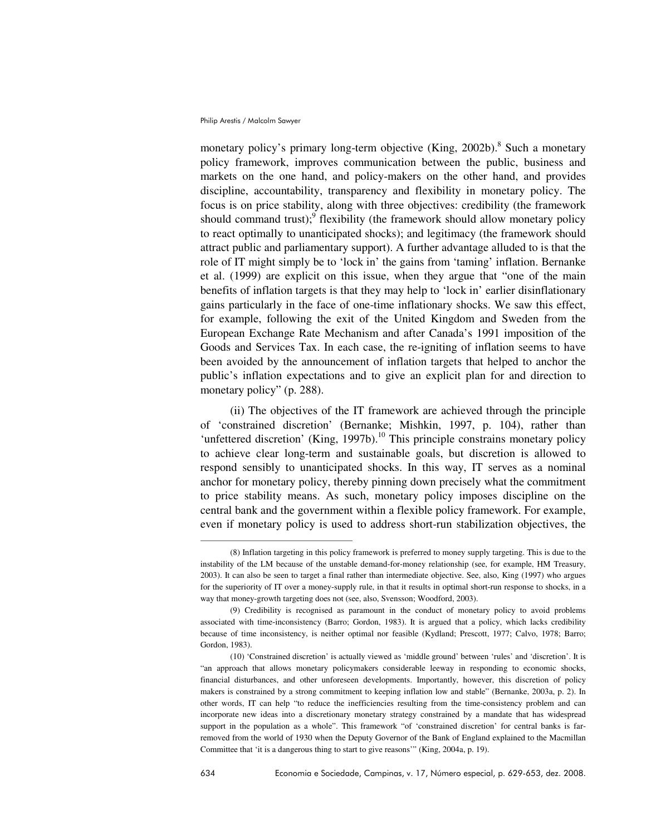monetary policy's primary long-term objective (King, 2002b).<sup>8</sup> Such a monetary policy framework, improves communication between the public, business and markets on the one hand, and policy-makers on the other hand, and provides discipline, accountability, transparency and flexibility in monetary policy. The focus is on price stability, along with three objectives: credibility (the framework should command trust); $\frac{9}{5}$  flexibility (the framework should allow monetary policy to react optimally to unanticipated shocks); and legitimacy (the framework should attract public and parliamentary support). A further advantage alluded to is that the role of IT might simply be to 'lock in' the gains from 'taming' inflation. Bernanke et al. (1999) are explicit on this issue, when they argue that "one of the main benefits of inflation targets is that they may help to 'lock in' earlier disinflationary gains particularly in the face of one-time inflationary shocks. We saw this effect, for example, following the exit of the United Kingdom and Sweden from the European Exchange Rate Mechanism and after Canada's 1991 imposition of the Goods and Services Tax. In each case, the re-igniting of inflation seems to have been avoided by the announcement of inflation targets that helped to anchor the public's inflation expectations and to give an explicit plan for and direction to monetary policy" (p. 288).

(ii) The objectives of the IT framework are achieved through the principle of 'constrained discretion' (Bernanke; Mishkin, 1997, p. 104), rather than 'unfettered discretion' (King, 1997b).<sup>10</sup> This principle constrains monetary policy to achieve clear long-term and sustainable goals, but discretion is allowed to respond sensibly to unanticipated shocks. In this way, IT serves as a nominal anchor for monetary policy, thereby pinning down precisely what the commitment to price stability means. As such, monetary policy imposes discipline on the central bank and the government within a flexible policy framework. For example, even if monetary policy is used to address short-run stabilization objectives, the

<sup>(8)</sup> Inflation targeting in this policy framework is preferred to money supply targeting. This is due to the instability of the LM because of the unstable demand-for-money relationship (see, for example, HM Treasury, 2003). It can also be seen to target a final rather than intermediate objective. See, also, King (1997) who argues for the superiority of IT over a money-supply rule, in that it results in optimal short-run response to shocks, in a way that money-growth targeting does not (see, also, Svensson; Woodford, 2003).

<sup>(9)</sup> Credibility is recognised as paramount in the conduct of monetary policy to avoid problems associated with time-inconsistency (Barro; Gordon, 1983). It is argued that a policy, which lacks credibility because of time inconsistency, is neither optimal nor feasible (Kydland; Prescott, 1977; Calvo, 1978; Barro; Gordon, 1983).

<sup>(10) &#</sup>x27;Constrained discretion' is actually viewed as 'middle ground' between 'rules' and 'discretion'. It is "an approach that allows monetary policymakers considerable leeway in responding to economic shocks, financial disturbances, and other unforeseen developments. Importantly, however, this discretion of policy makers is constrained by a strong commitment to keeping inflation low and stable" (Bernanke, 2003a, p. 2). In other words, IT can help "to reduce the inefficiencies resulting from the time-consistency problem and can incorporate new ideas into a discretionary monetary strategy constrained by a mandate that has widespread support in the population as a whole". This framework "of 'constrained discretion' for central banks is farremoved from the world of 1930 when the Deputy Governor of the Bank of England explained to the Macmillan Committee that 'it is a dangerous thing to start to give reasons'" (King, 2004a, p. 19).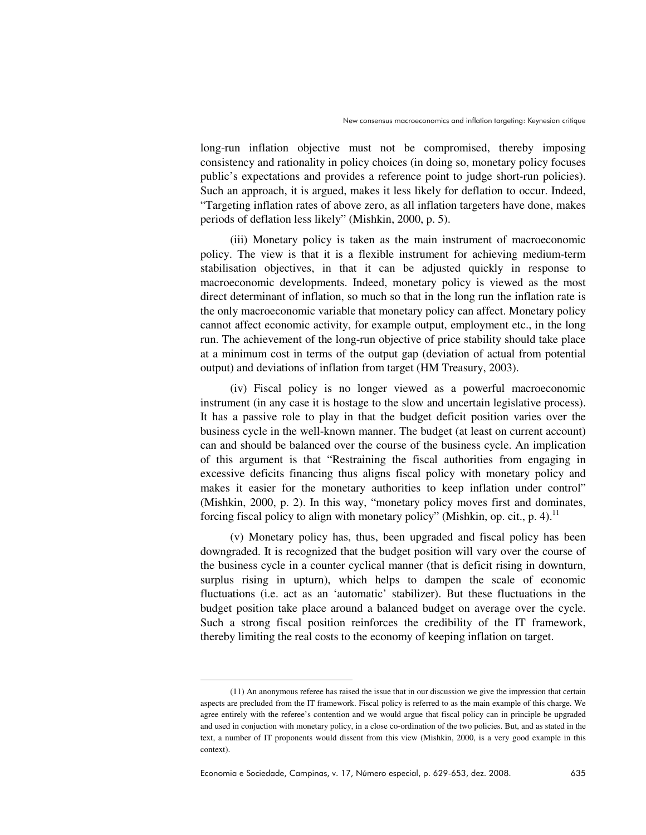long-run inflation objective must not be compromised, thereby imposing consistency and rationality in policy choices (in doing so, monetary policy focuses public's expectations and provides a reference point to judge short-run policies). Such an approach, it is argued, makes it less likely for deflation to occur. Indeed, "Targeting inflation rates of above zero, as all inflation targeters have done, makes periods of deflation less likely" (Mishkin, 2000, p. 5).

(iii) Monetary policy is taken as the main instrument of macroeconomic policy. The view is that it is a flexible instrument for achieving medium-term stabilisation objectives, in that it can be adjusted quickly in response to macroeconomic developments. Indeed, monetary policy is viewed as the most direct determinant of inflation, so much so that in the long run the inflation rate is the only macroeconomic variable that monetary policy can affect. Monetary policy cannot affect economic activity, for example output, employment etc., in the long run. The achievement of the long-run objective of price stability should take place at a minimum cost in terms of the output gap (deviation of actual from potential output) and deviations of inflation from target (HM Treasury, 2003).

(iv) Fiscal policy is no longer viewed as a powerful macroeconomic instrument (in any case it is hostage to the slow and uncertain legislative process). It has a passive role to play in that the budget deficit position varies over the business cycle in the well-known manner. The budget (at least on current account) can and should be balanced over the course of the business cycle. An implication of this argument is that "Restraining the fiscal authorities from engaging in excessive deficits financing thus aligns fiscal policy with monetary policy and makes it easier for the monetary authorities to keep inflation under control" (Mishkin, 2000, p. 2). In this way, "monetary policy moves first and dominates, forcing fiscal policy to align with monetary policy" (Mishkin, op. cit., p. 4).<sup>11</sup>

(v) Monetary policy has, thus, been upgraded and fiscal policy has been downgraded. It is recognized that the budget position will vary over the course of the business cycle in a counter cyclical manner (that is deficit rising in downturn, surplus rising in upturn), which helps to dampen the scale of economic fluctuations (i.e. act as an 'automatic' stabilizer). But these fluctuations in the budget position take place around a balanced budget on average over the cycle. Such a strong fiscal position reinforces the credibility of the IT framework, thereby limiting the real costs to the economy of keeping inflation on target.

<sup>(11)</sup> An anonymous referee has raised the issue that in our discussion we give the impression that certain aspects are precluded from the IT framework. Fiscal policy is referred to as the main example of this charge. We agree entirely with the referee's contention and we would argue that fiscal policy can in principle be upgraded and used in conjuction with monetary policy, in a close co-ordination of the two policies. But, and as stated in the text, a number of IT proponents would dissent from this view (Mishkin, 2000, is a very good example in this context).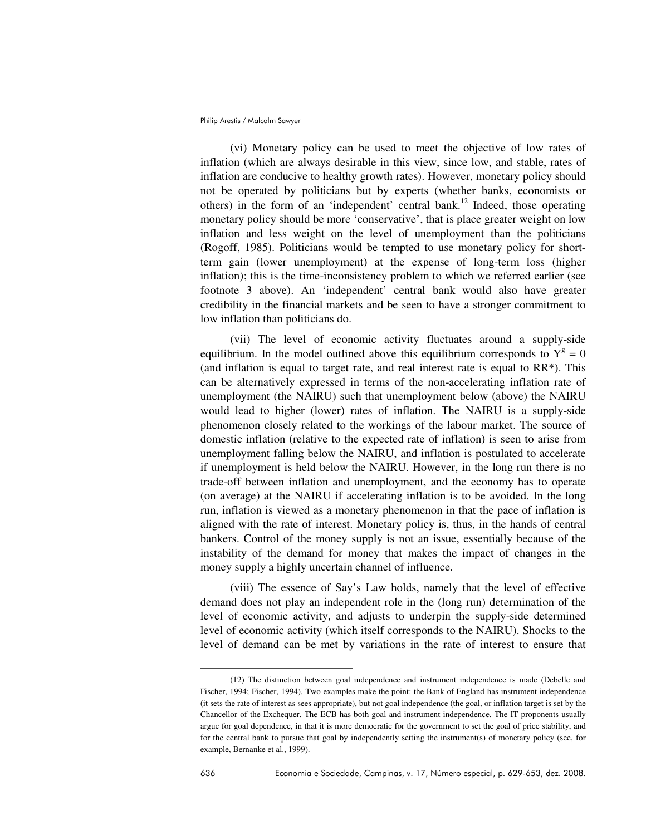(vi) Monetary policy can be used to meet the objective of low rates of inflation (which are always desirable in this view, since low, and stable, rates of inflation are conducive to healthy growth rates). However, monetary policy should not be operated by politicians but by experts (whether banks, economists or others) in the form of an 'independent' central bank.<sup>12</sup> Indeed, those operating monetary policy should be more 'conservative', that is place greater weight on low inflation and less weight on the level of unemployment than the politicians (Rogoff, 1985). Politicians would be tempted to use monetary policy for shortterm gain (lower unemployment) at the expense of long-term loss (higher inflation); this is the time-inconsistency problem to which we referred earlier (see footnote 3 above). An 'independent' central bank would also have greater credibility in the financial markets and be seen to have a stronger commitment to low inflation than politicians do.

(vii) The level of economic activity fluctuates around a supply-side equilibrium. In the model outlined above this equilibrium corresponds to  $Y^g = 0$ (and inflation is equal to target rate, and real interest rate is equal to RR\*). This can be alternatively expressed in terms of the non-accelerating inflation rate of unemployment (the NAIRU) such that unemployment below (above) the NAIRU would lead to higher (lower) rates of inflation. The NAIRU is a supply-side phenomenon closely related to the workings of the labour market. The source of domestic inflation (relative to the expected rate of inflation) is seen to arise from unemployment falling below the NAIRU, and inflation is postulated to accelerate if unemployment is held below the NAIRU. However, in the long run there is no trade-off between inflation and unemployment, and the economy has to operate (on average) at the NAIRU if accelerating inflation is to be avoided. In the long run, inflation is viewed as a monetary phenomenon in that the pace of inflation is aligned with the rate of interest. Monetary policy is, thus, in the hands of central bankers. Control of the money supply is not an issue, essentially because of the instability of the demand for money that makes the impact of changes in the money supply a highly uncertain channel of influence.

(viii) The essence of Say's Law holds, namely that the level of effective demand does not play an independent role in the (long run) determination of the level of economic activity, and adjusts to underpin the supply-side determined level of economic activity (which itself corresponds to the NAIRU). Shocks to the level of demand can be met by variations in the rate of interest to ensure that

<sup>(12)</sup> The distinction between goal independence and instrument independence is made (Debelle and Fischer, 1994; Fischer, 1994). Two examples make the point: the Bank of England has instrument independence (it sets the rate of interest as sees appropriate), but not goal independence (the goal, or inflation target is set by the Chancellor of the Exchequer. The ECB has both goal and instrument independence. The IT proponents usually argue for goal dependence, in that it is more democratic for the government to set the goal of price stability, and for the central bank to pursue that goal by independently setting the instrument(s) of monetary policy (see, for example, Bernanke et al., 1999).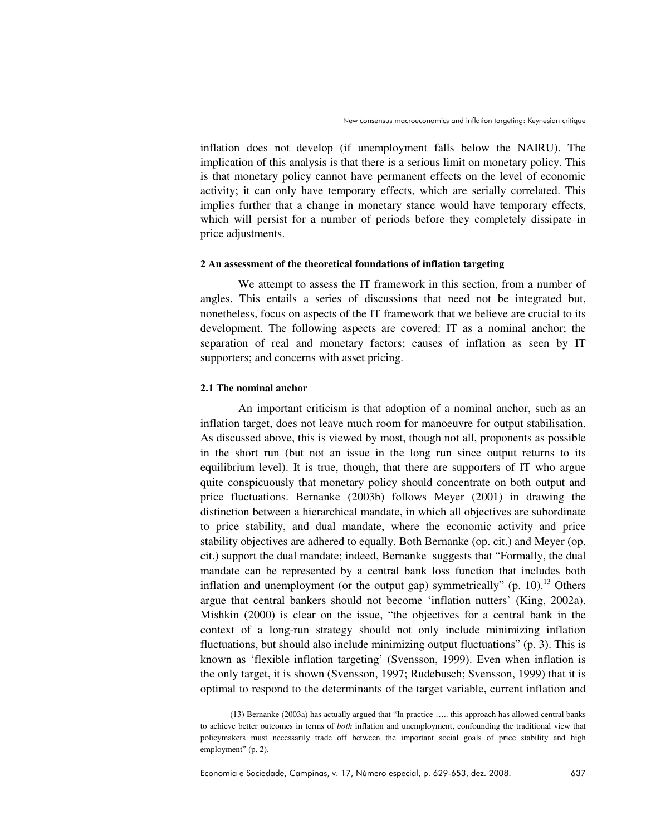inflation does not develop (if unemployment falls below the NAIRU). The implication of this analysis is that there is a serious limit on monetary policy. This is that monetary policy cannot have permanent effects on the level of economic activity; it can only have temporary effects, which are serially correlated. This implies further that a change in monetary stance would have temporary effects, which will persist for a number of periods before they completely dissipate in price adjustments.

# **2 An assessment of the theoretical foundations of inflation targeting**

We attempt to assess the IT framework in this section, from a number of angles. This entails a series of discussions that need not be integrated but, nonetheless, focus on aspects of the IT framework that we believe are crucial to its development. The following aspects are covered: IT as a nominal anchor; the separation of real and monetary factors; causes of inflation as seen by IT supporters; and concerns with asset pricing.

# **2.1 The nominal anchor**

 $\overline{a}$ 

An important criticism is that adoption of a nominal anchor, such as an inflation target, does not leave much room for manoeuvre for output stabilisation. As discussed above, this is viewed by most, though not all, proponents as possible in the short run (but not an issue in the long run since output returns to its equilibrium level). It is true, though, that there are supporters of IT who argue quite conspicuously that monetary policy should concentrate on both output and price fluctuations. Bernanke (2003b) follows Meyer (2001) in drawing the distinction between a hierarchical mandate, in which all objectives are subordinate to price stability, and dual mandate, where the economic activity and price stability objectives are adhered to equally. Both Bernanke (op. cit.) and Meyer (op. cit.) support the dual mandate; indeed, Bernanke suggests that "Formally, the dual mandate can be represented by a central bank loss function that includes both inflation and unemployment (or the output gap) symmetrically" (p. 10).<sup>13</sup> Others argue that central bankers should not become 'inflation nutters' (King, 2002a). Mishkin (2000) is clear on the issue, "the objectives for a central bank in the context of a long-run strategy should not only include minimizing inflation fluctuations, but should also include minimizing output fluctuations" (p. 3). This is known as 'flexible inflation targeting' (Svensson, 1999). Even when inflation is the only target, it is shown (Svensson, 1997; Rudebusch; Svensson, 1999) that it is optimal to respond to the determinants of the target variable, current inflation and

<sup>(13)</sup> Bernanke (2003a) has actually argued that "In practice ….. this approach has allowed central banks to achieve better outcomes in terms of *both* inflation and unemployment, confounding the traditional view that policymakers must necessarily trade off between the important social goals of price stability and high employment" (p. 2).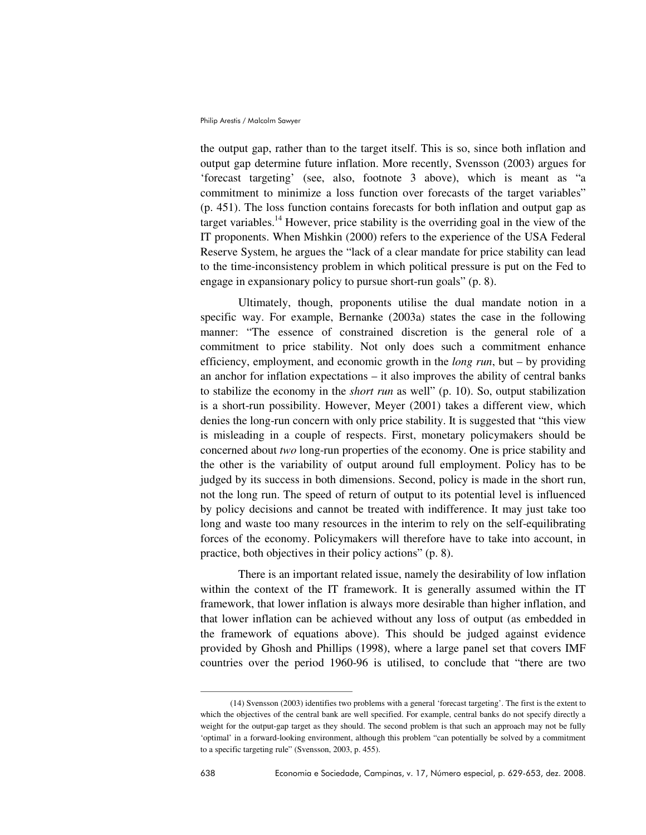the output gap, rather than to the target itself. This is so, since both inflation and output gap determine future inflation. More recently, Svensson (2003) argues for 'forecast targeting' (see, also, footnote 3 above), which is meant as "a commitment to minimize a loss function over forecasts of the target variables" (p. 451). The loss function contains forecasts for both inflation and output gap as target variables.<sup>14</sup> However, price stability is the overriding goal in the view of the IT proponents. When Mishkin (2000) refers to the experience of the USA Federal Reserve System, he argues the "lack of a clear mandate for price stability can lead to the time-inconsistency problem in which political pressure is put on the Fed to engage in expansionary policy to pursue short-run goals" (p. 8).

Ultimately, though, proponents utilise the dual mandate notion in a specific way. For example, Bernanke (2003a) states the case in the following manner: "The essence of constrained discretion is the general role of a commitment to price stability. Not only does such a commitment enhance efficiency, employment, and economic growth in the *long run*, but – by providing an anchor for inflation expectations – it also improves the ability of central banks to stabilize the economy in the *short run* as well" (p. 10). So, output stabilization is a short-run possibility. However, Meyer (2001) takes a different view, which denies the long-run concern with only price stability. It is suggested that "this view is misleading in a couple of respects. First, monetary policymakers should be concerned about *two* long-run properties of the economy. One is price stability and the other is the variability of output around full employment. Policy has to be judged by its success in both dimensions. Second, policy is made in the short run, not the long run. The speed of return of output to its potential level is influenced by policy decisions and cannot be treated with indifference. It may just take too long and waste too many resources in the interim to rely on the self-equilibrating forces of the economy. Policymakers will therefore have to take into account, in practice, both objectives in their policy actions" (p. 8).

There is an important related issue, namely the desirability of low inflation within the context of the IT framework. It is generally assumed within the IT framework, that lower inflation is always more desirable than higher inflation, and that lower inflation can be achieved without any loss of output (as embedded in the framework of equations above). This should be judged against evidence provided by Ghosh and Phillips (1998), where a large panel set that covers IMF countries over the period 1960-96 is utilised, to conclude that "there are two

<sup>(14)</sup> Svensson (2003) identifies two problems with a general 'forecast targeting'. The first is the extent to which the objectives of the central bank are well specified. For example, central banks do not specify directly a weight for the output-gap target as they should. The second problem is that such an approach may not be fully 'optimal' in a forward-looking environment, although this problem "can potentially be solved by a commitment to a specific targeting rule" (Svensson, 2003, p. 455).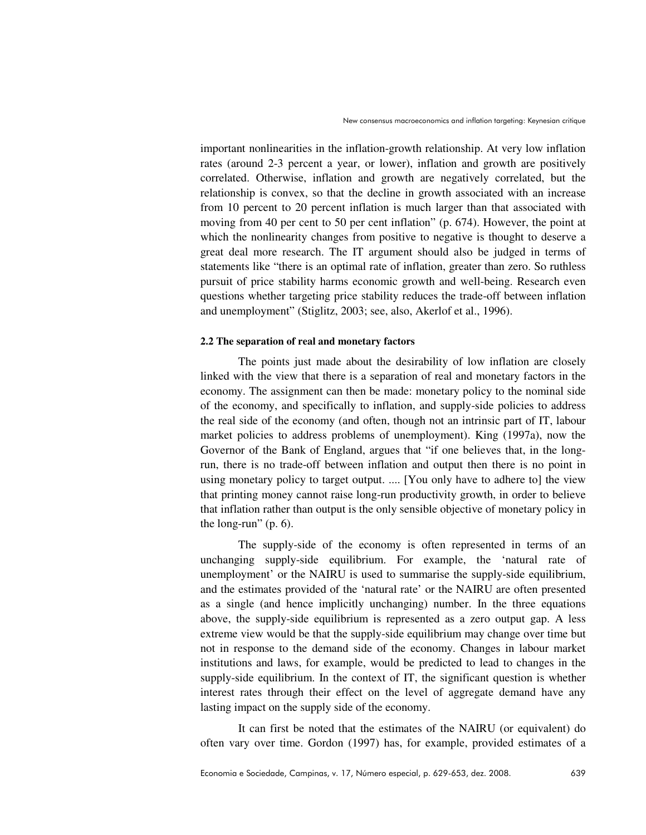important nonlinearities in the inflation-growth relationship. At very low inflation rates (around 2-3 percent a year, or lower), inflation and growth are positively correlated. Otherwise, inflation and growth are negatively correlated, but the relationship is convex, so that the decline in growth associated with an increase from 10 percent to 20 percent inflation is much larger than that associated with moving from 40 per cent to 50 per cent inflation" (p. 674). However, the point at which the nonlinearity changes from positive to negative is thought to deserve a great deal more research. The IT argument should also be judged in terms of statements like "there is an optimal rate of inflation, greater than zero. So ruthless pursuit of price stability harms economic growth and well-being. Research even questions whether targeting price stability reduces the trade-off between inflation and unemployment" (Stiglitz, 2003; see, also, Akerlof et al., 1996).

# **2.2 The separation of real and monetary factors**

The points just made about the desirability of low inflation are closely linked with the view that there is a separation of real and monetary factors in the economy. The assignment can then be made: monetary policy to the nominal side of the economy, and specifically to inflation, and supply-side policies to address the real side of the economy (and often, though not an intrinsic part of IT, labour market policies to address problems of unemployment). King (1997a), now the Governor of the Bank of England, argues that "if one believes that, in the longrun, there is no trade-off between inflation and output then there is no point in using monetary policy to target output. .... [You only have to adhere to] the view that printing money cannot raise long-run productivity growth, in order to believe that inflation rather than output is the only sensible objective of monetary policy in the long-run"  $(p. 6)$ .

The supply-side of the economy is often represented in terms of an unchanging supply-side equilibrium. For example, the 'natural rate of unemployment' or the NAIRU is used to summarise the supply-side equilibrium, and the estimates provided of the 'natural rate' or the NAIRU are often presented as a single (and hence implicitly unchanging) number. In the three equations above, the supply-side equilibrium is represented as a zero output gap. A less extreme view would be that the supply-side equilibrium may change over time but not in response to the demand side of the economy. Changes in labour market institutions and laws, for example, would be predicted to lead to changes in the supply-side equilibrium. In the context of IT, the significant question is whether interest rates through their effect on the level of aggregate demand have any lasting impact on the supply side of the economy.

It can first be noted that the estimates of the NAIRU (or equivalent) do often vary over time. Gordon (1997) has, for example, provided estimates of a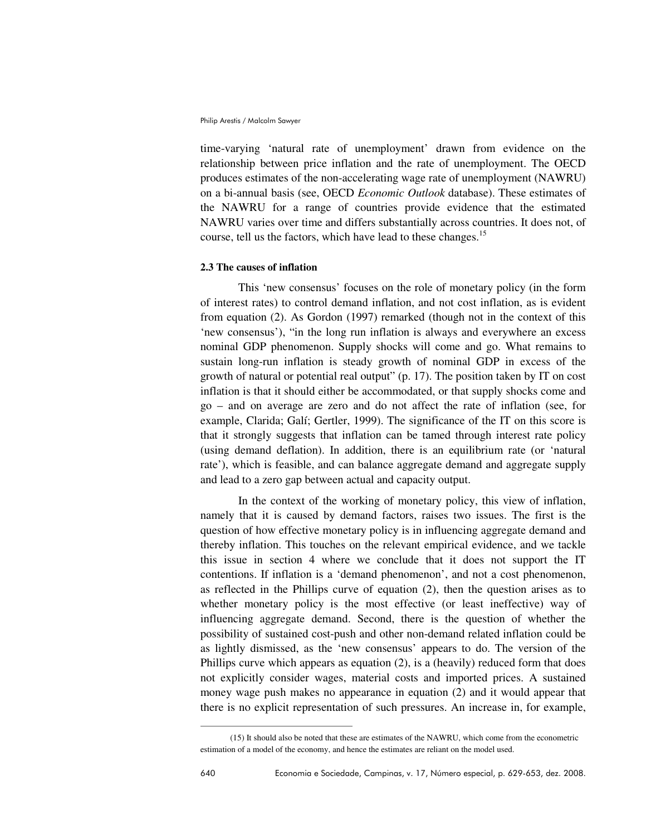time-varying 'natural rate of unemployment' drawn from evidence on the relationship between price inflation and the rate of unemployment. The OECD produces estimates of the non-accelerating wage rate of unemployment (NAWRU) on a bi-annual basis (see, OECD *Economic Outlook* database). These estimates of the NAWRU for a range of countries provide evidence that the estimated NAWRU varies over time and differs substantially across countries. It does not, of course, tell us the factors, which have lead to these changes.<sup>15</sup>

# **2.3 The causes of inflation**

This 'new consensus' focuses on the role of monetary policy (in the form of interest rates) to control demand inflation, and not cost inflation, as is evident from equation (2). As Gordon (1997) remarked (though not in the context of this 'new consensus'), "in the long run inflation is always and everywhere an excess nominal GDP phenomenon. Supply shocks will come and go. What remains to sustain long-run inflation is steady growth of nominal GDP in excess of the growth of natural or potential real output" (p. 17). The position taken by IT on cost inflation is that it should either be accommodated, or that supply shocks come and go – and on average are zero and do not affect the rate of inflation (see, for example, Clarida; Galí; Gertler, 1999). The significance of the IT on this score is that it strongly suggests that inflation can be tamed through interest rate policy (using demand deflation). In addition, there is an equilibrium rate (or 'natural rate'), which is feasible, and can balance aggregate demand and aggregate supply and lead to a zero gap between actual and capacity output.

In the context of the working of monetary policy, this view of inflation, namely that it is caused by demand factors, raises two issues. The first is the question of how effective monetary policy is in influencing aggregate demand and thereby inflation. This touches on the relevant empirical evidence, and we tackle this issue in section 4 where we conclude that it does not support the IT contentions. If inflation is a 'demand phenomenon', and not a cost phenomenon, as reflected in the Phillips curve of equation (2), then the question arises as to whether monetary policy is the most effective (or least ineffective) way of influencing aggregate demand. Second, there is the question of whether the possibility of sustained cost-push and other non-demand related inflation could be as lightly dismissed, as the 'new consensus' appears to do. The version of the Phillips curve which appears as equation (2), is a (heavily) reduced form that does not explicitly consider wages, material costs and imported prices. A sustained money wage push makes no appearance in equation (2) and it would appear that there is no explicit representation of such pressures. An increase in, for example,

<sup>(15)</sup> It should also be noted that these are estimates of the NAWRU, which come from the econometric estimation of a model of the economy, and hence the estimates are reliant on the model used.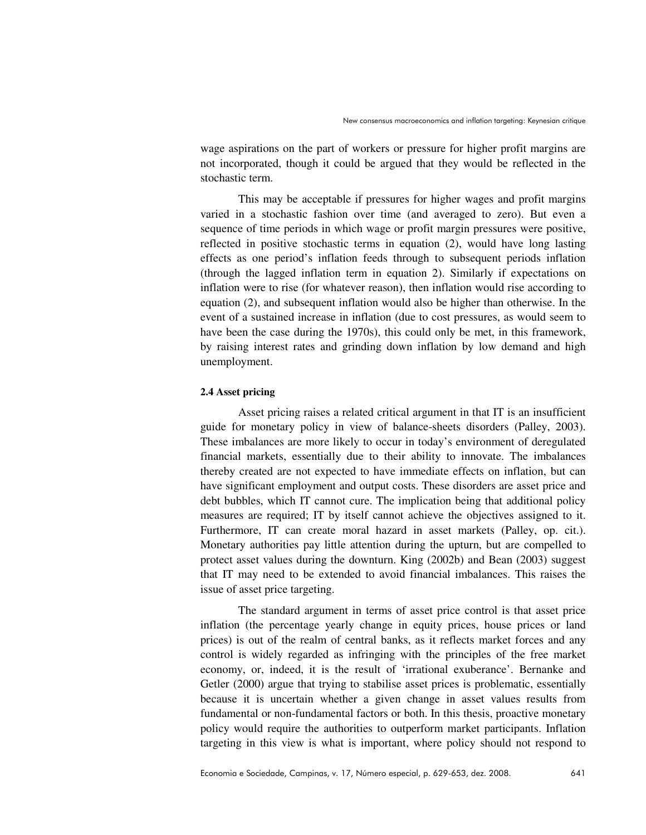wage aspirations on the part of workers or pressure for higher profit margins are not incorporated, though it could be argued that they would be reflected in the stochastic term.

This may be acceptable if pressures for higher wages and profit margins varied in a stochastic fashion over time (and averaged to zero). But even a sequence of time periods in which wage or profit margin pressures were positive, reflected in positive stochastic terms in equation (2), would have long lasting effects as one period's inflation feeds through to subsequent periods inflation (through the lagged inflation term in equation 2). Similarly if expectations on inflation were to rise (for whatever reason), then inflation would rise according to equation (2), and subsequent inflation would also be higher than otherwise. In the event of a sustained increase in inflation (due to cost pressures, as would seem to have been the case during the 1970s), this could only be met, in this framework, by raising interest rates and grinding down inflation by low demand and high unemployment.

# **2.4 Asset pricing**

Asset pricing raises a related critical argument in that IT is an insufficient guide for monetary policy in view of balance-sheets disorders (Palley, 2003). These imbalances are more likely to occur in today's environment of deregulated financial markets, essentially due to their ability to innovate. The imbalances thereby created are not expected to have immediate effects on inflation, but can have significant employment and output costs. These disorders are asset price and debt bubbles, which IT cannot cure. The implication being that additional policy measures are required; IT by itself cannot achieve the objectives assigned to it. Furthermore, IT can create moral hazard in asset markets (Palley, op. cit.). Monetary authorities pay little attention during the upturn, but are compelled to protect asset values during the downturn. King (2002b) and Bean (2003) suggest that IT may need to be extended to avoid financial imbalances. This raises the issue of asset price targeting.

The standard argument in terms of asset price control is that asset price inflation (the percentage yearly change in equity prices, house prices or land prices) is out of the realm of central banks, as it reflects market forces and any control is widely regarded as infringing with the principles of the free market economy, or, indeed, it is the result of 'irrational exuberance'. Bernanke and Getler (2000) argue that trying to stabilise asset prices is problematic, essentially because it is uncertain whether a given change in asset values results from fundamental or non-fundamental factors or both. In this thesis, proactive monetary policy would require the authorities to outperform market participants. Inflation targeting in this view is what is important, where policy should not respond to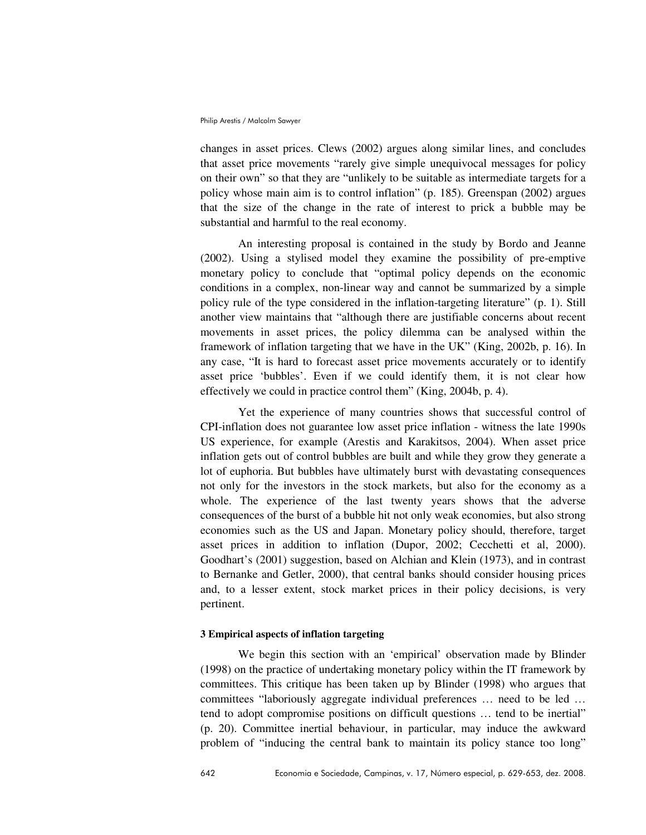changes in asset prices. Clews (2002) argues along similar lines, and concludes that asset price movements "rarely give simple unequivocal messages for policy on their own" so that they are "unlikely to be suitable as intermediate targets for a policy whose main aim is to control inflation" (p. 185). Greenspan (2002) argues that the size of the change in the rate of interest to prick a bubble may be substantial and harmful to the real economy.

An interesting proposal is contained in the study by Bordo and Jeanne (2002). Using a stylised model they examine the possibility of pre-emptive monetary policy to conclude that "optimal policy depends on the economic conditions in a complex, non-linear way and cannot be summarized by a simple policy rule of the type considered in the inflation-targeting literature" (p. 1). Still another view maintains that "although there are justifiable concerns about recent movements in asset prices, the policy dilemma can be analysed within the framework of inflation targeting that we have in the UK" (King, 2002b, p. 16). In any case, "It is hard to forecast asset price movements accurately or to identify asset price 'bubbles'. Even if we could identify them, it is not clear how effectively we could in practice control them" (King, 2004b, p. 4).

Yet the experience of many countries shows that successful control of CPI-inflation does not guarantee low asset price inflation - witness the late 1990s US experience, for example (Arestis and Karakitsos, 2004). When asset price inflation gets out of control bubbles are built and while they grow they generate a lot of euphoria. But bubbles have ultimately burst with devastating consequences not only for the investors in the stock markets, but also for the economy as a whole. The experience of the last twenty years shows that the adverse consequences of the burst of a bubble hit not only weak economies, but also strong economies such as the US and Japan. Monetary policy should, therefore, target asset prices in addition to inflation (Dupor, 2002; Cecchetti et al, 2000). Goodhart's (2001) suggestion, based on Alchian and Klein (1973), and in contrast to Bernanke and Getler, 2000), that central banks should consider housing prices and, to a lesser extent, stock market prices in their policy decisions, is very pertinent.

# **3 Empirical aspects of inflation targeting**

We begin this section with an 'empirical' observation made by Blinder (1998) on the practice of undertaking monetary policy within the IT framework by committees. This critique has been taken up by Blinder (1998) who argues that committees "laboriously aggregate individual preferences … need to be led … tend to adopt compromise positions on difficult questions … tend to be inertial" (p. 20). Committee inertial behaviour, in particular, may induce the awkward problem of "inducing the central bank to maintain its policy stance too long"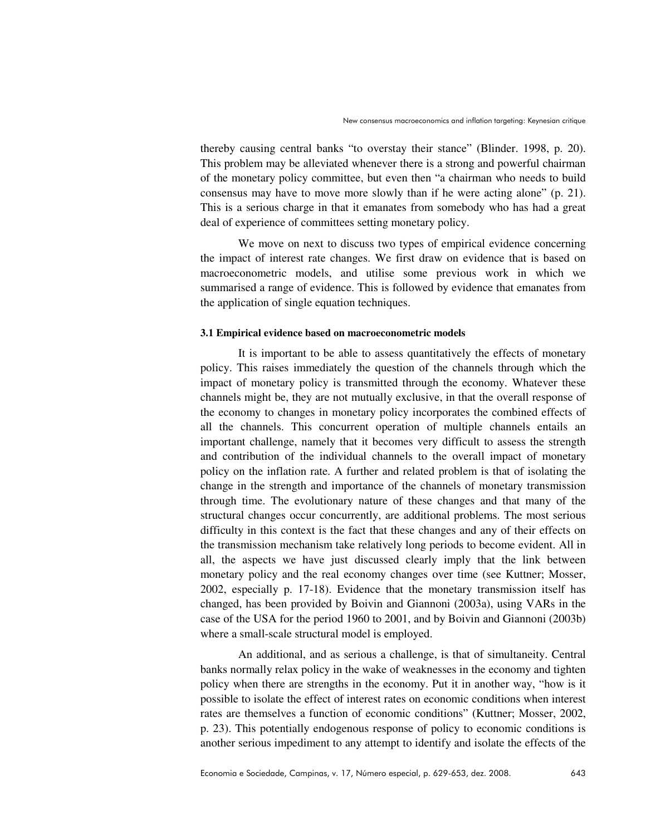thereby causing central banks "to overstay their stance" (Blinder. 1998, p. 20). This problem may be alleviated whenever there is a strong and powerful chairman of the monetary policy committee, but even then "a chairman who needs to build consensus may have to move more slowly than if he were acting alone" (p. 21). This is a serious charge in that it emanates from somebody who has had a great deal of experience of committees setting monetary policy.

We move on next to discuss two types of empirical evidence concerning the impact of interest rate changes. We first draw on evidence that is based on macroeconometric models, and utilise some previous work in which we summarised a range of evidence. This is followed by evidence that emanates from the application of single equation techniques.

### **3.1 Empirical evidence based on macroeconometric models**

It is important to be able to assess quantitatively the effects of monetary policy. This raises immediately the question of the channels through which the impact of monetary policy is transmitted through the economy. Whatever these channels might be, they are not mutually exclusive, in that the overall response of the economy to changes in monetary policy incorporates the combined effects of all the channels. This concurrent operation of multiple channels entails an important challenge, namely that it becomes very difficult to assess the strength and contribution of the individual channels to the overall impact of monetary policy on the inflation rate. A further and related problem is that of isolating the change in the strength and importance of the channels of monetary transmission through time. The evolutionary nature of these changes and that many of the structural changes occur concurrently, are additional problems. The most serious difficulty in this context is the fact that these changes and any of their effects on the transmission mechanism take relatively long periods to become evident. All in all, the aspects we have just discussed clearly imply that the link between monetary policy and the real economy changes over time (see Kuttner; Mosser, 2002, especially p. 17-18). Evidence that the monetary transmission itself has changed, has been provided by Boivin and Giannoni (2003a), using VARs in the case of the USA for the period 1960 to 2001, and by Boivin and Giannoni (2003b) where a small-scale structural model is employed.

An additional, and as serious a challenge, is that of simultaneity. Central banks normally relax policy in the wake of weaknesses in the economy and tighten policy when there are strengths in the economy. Put it in another way, "how is it possible to isolate the effect of interest rates on economic conditions when interest rates are themselves a function of economic conditions" (Kuttner; Mosser, 2002, p. 23). This potentially endogenous response of policy to economic conditions is another serious impediment to any attempt to identify and isolate the effects of the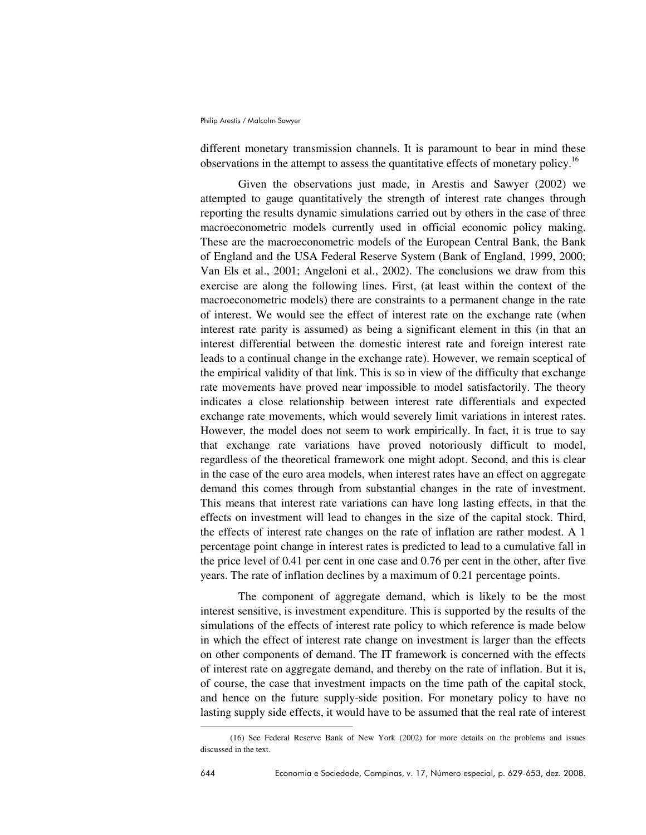different monetary transmission channels. It is paramount to bear in mind these observations in the attempt to assess the quantitative effects of monetary policy.<sup>16</sup>

Given the observations just made, in Arestis and Sawyer (2002) we attempted to gauge quantitatively the strength of interest rate changes through reporting the results dynamic simulations carried out by others in the case of three macroeconometric models currently used in official economic policy making. These are the macroeconometric models of the European Central Bank, the Bank of England and the USA Federal Reserve System (Bank of England, 1999, 2000; Van Els et al., 2001; Angeloni et al., 2002). The conclusions we draw from this exercise are along the following lines. First, (at least within the context of the macroeconometric models) there are constraints to a permanent change in the rate of interest. We would see the effect of interest rate on the exchange rate (when interest rate parity is assumed) as being a significant element in this (in that an interest differential between the domestic interest rate and foreign interest rate leads to a continual change in the exchange rate). However, we remain sceptical of the empirical validity of that link. This is so in view of the difficulty that exchange rate movements have proved near impossible to model satisfactorily. The theory indicates a close relationship between interest rate differentials and expected exchange rate movements, which would severely limit variations in interest rates. However, the model does not seem to work empirically. In fact, it is true to say that exchange rate variations have proved notoriously difficult to model, regardless of the theoretical framework one might adopt. Second, and this is clear in the case of the euro area models, when interest rates have an effect on aggregate demand this comes through from substantial changes in the rate of investment. This means that interest rate variations can have long lasting effects, in that the effects on investment will lead to changes in the size of the capital stock. Third, the effects of interest rate changes on the rate of inflation are rather modest. A 1 percentage point change in interest rates is predicted to lead to a cumulative fall in the price level of 0.41 per cent in one case and 0.76 per cent in the other, after five years. The rate of inflation declines by a maximum of 0.21 percentage points.

The component of aggregate demand, which is likely to be the most interest sensitive, is investment expenditure. This is supported by the results of the simulations of the effects of interest rate policy to which reference is made below in which the effect of interest rate change on investment is larger than the effects on other components of demand. The IT framework is concerned with the effects of interest rate on aggregate demand, and thereby on the rate of inflation. But it is, of course, the case that investment impacts on the time path of the capital stock, and hence on the future supply-side position. For monetary policy to have no lasting supply side effects, it would have to be assumed that the real rate of interest

<sup>(16)</sup> See Federal Reserve Bank of New York (2002) for more details on the problems and issues discussed in the text.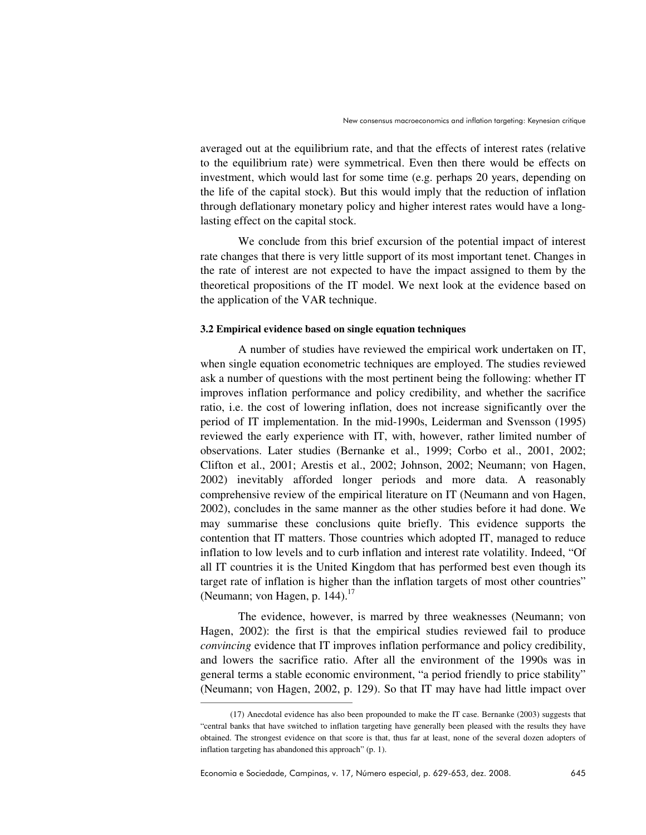averaged out at the equilibrium rate, and that the effects of interest rates (relative to the equilibrium rate) were symmetrical. Even then there would be effects on investment, which would last for some time (e.g. perhaps 20 years, depending on the life of the capital stock). But this would imply that the reduction of inflation through deflationary monetary policy and higher interest rates would have a longlasting effect on the capital stock.

We conclude from this brief excursion of the potential impact of interest rate changes that there is very little support of its most important tenet. Changes in the rate of interest are not expected to have the impact assigned to them by the theoretical propositions of the IT model. We next look at the evidence based on the application of the VAR technique.

# **3.2 Empirical evidence based on single equation techniques**

A number of studies have reviewed the empirical work undertaken on IT, when single equation econometric techniques are employed. The studies reviewed ask a number of questions with the most pertinent being the following: whether IT improves inflation performance and policy credibility, and whether the sacrifice ratio, i.e. the cost of lowering inflation, does not increase significantly over the period of IT implementation. In the mid-1990s, Leiderman and Svensson (1995) reviewed the early experience with IT, with, however, rather limited number of observations. Later studies (Bernanke et al., 1999; Corbo et al., 2001, 2002; Clifton et al., 2001; Arestis et al., 2002; Johnson, 2002; Neumann; von Hagen, 2002) inevitably afforded longer periods and more data. A reasonably comprehensive review of the empirical literature on IT (Neumann and von Hagen, 2002), concludes in the same manner as the other studies before it had done. We may summarise these conclusions quite briefly. This evidence supports the contention that IT matters. Those countries which adopted IT, managed to reduce inflation to low levels and to curb inflation and interest rate volatility. Indeed, "Of all IT countries it is the United Kingdom that has performed best even though its target rate of inflation is higher than the inflation targets of most other countries" (Neumann; von Hagen, p.  $144$ ).<sup>17</sup>

The evidence, however, is marred by three weaknesses (Neumann; von Hagen, 2002): the first is that the empirical studies reviewed fail to produce *convincing* evidence that IT improves inflation performance and policy credibility, and lowers the sacrifice ratio. After all the environment of the 1990s was in general terms a stable economic environment, "a period friendly to price stability" (Neumann; von Hagen, 2002, p. 129). So that IT may have had little impact over

<sup>(17)</sup> Anecdotal evidence has also been propounded to make the IT case. Bernanke (2003) suggests that "central banks that have switched to inflation targeting have generally been pleased with the results they have obtained. The strongest evidence on that score is that, thus far at least, none of the several dozen adopters of inflation targeting has abandoned this approach" (p. 1).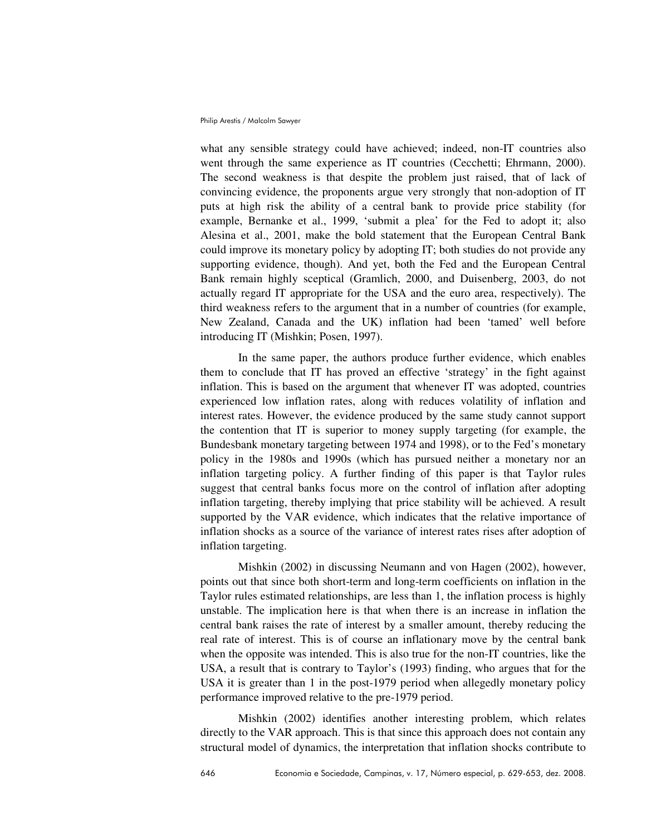what any sensible strategy could have achieved; indeed, non-IT countries also went through the same experience as IT countries (Cecchetti; Ehrmann, 2000). The second weakness is that despite the problem just raised, that of lack of convincing evidence, the proponents argue very strongly that non-adoption of IT puts at high risk the ability of a central bank to provide price stability (for example, Bernanke et al., 1999, 'submit a plea' for the Fed to adopt it; also Alesina et al., 2001, make the bold statement that the European Central Bank could improve its monetary policy by adopting IT; both studies do not provide any supporting evidence, though). And yet, both the Fed and the European Central Bank remain highly sceptical (Gramlich, 2000, and Duisenberg, 2003, do not actually regard IT appropriate for the USA and the euro area, respectively). The third weakness refers to the argument that in a number of countries (for example, New Zealand, Canada and the UK) inflation had been 'tamed' well before introducing IT (Mishkin; Posen, 1997).

In the same paper, the authors produce further evidence, which enables them to conclude that IT has proved an effective 'strategy' in the fight against inflation. This is based on the argument that whenever IT was adopted, countries experienced low inflation rates, along with reduces volatility of inflation and interest rates. However, the evidence produced by the same study cannot support the contention that IT is superior to money supply targeting (for example, the Bundesbank monetary targeting between 1974 and 1998), or to the Fed's monetary policy in the 1980s and 1990s (which has pursued neither a monetary nor an inflation targeting policy. A further finding of this paper is that Taylor rules suggest that central banks focus more on the control of inflation after adopting inflation targeting, thereby implying that price stability will be achieved. A result supported by the VAR evidence, which indicates that the relative importance of inflation shocks as a source of the variance of interest rates rises after adoption of inflation targeting.

Mishkin (2002) in discussing Neumann and von Hagen (2002), however, points out that since both short-term and long-term coefficients on inflation in the Taylor rules estimated relationships, are less than 1, the inflation process is highly unstable. The implication here is that when there is an increase in inflation the central bank raises the rate of interest by a smaller amount, thereby reducing the real rate of interest. This is of course an inflationary move by the central bank when the opposite was intended. This is also true for the non-IT countries, like the USA, a result that is contrary to Taylor's (1993) finding, who argues that for the USA it is greater than 1 in the post-1979 period when allegedly monetary policy performance improved relative to the pre-1979 period.

Mishkin (2002) identifies another interesting problem, which relates directly to the VAR approach. This is that since this approach does not contain any structural model of dynamics, the interpretation that inflation shocks contribute to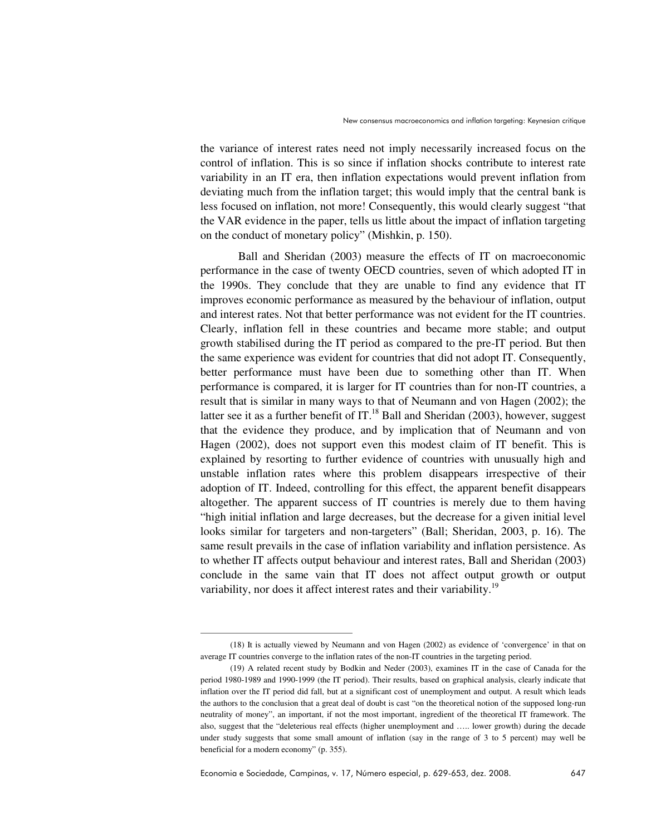the variance of interest rates need not imply necessarily increased focus on the control of inflation. This is so since if inflation shocks contribute to interest rate variability in an IT era, then inflation expectations would prevent inflation from deviating much from the inflation target; this would imply that the central bank is less focused on inflation, not more! Consequently, this would clearly suggest "that the VAR evidence in the paper, tells us little about the impact of inflation targeting on the conduct of monetary policy" (Mishkin, p. 150).

Ball and Sheridan (2003) measure the effects of IT on macroeconomic performance in the case of twenty OECD countries, seven of which adopted IT in the 1990s. They conclude that they are unable to find any evidence that IT improves economic performance as measured by the behaviour of inflation, output and interest rates. Not that better performance was not evident for the IT countries. Clearly, inflation fell in these countries and became more stable; and output growth stabilised during the IT period as compared to the pre-IT period. But then the same experience was evident for countries that did not adopt IT. Consequently, better performance must have been due to something other than IT. When performance is compared, it is larger for IT countries than for non-IT countries, a result that is similar in many ways to that of Neumann and von Hagen (2002); the latter see it as a further benefit of  $IT<sup>18</sup>$  Ball and Sheridan (2003), however, suggest that the evidence they produce, and by implication that of Neumann and von Hagen (2002), does not support even this modest claim of IT benefit. This is explained by resorting to further evidence of countries with unusually high and unstable inflation rates where this problem disappears irrespective of their adoption of IT. Indeed, controlling for this effect, the apparent benefit disappears altogether. The apparent success of IT countries is merely due to them having "high initial inflation and large decreases, but the decrease for a given initial level looks similar for targeters and non-targeters" (Ball; Sheridan, 2003, p. 16). The same result prevails in the case of inflation variability and inflation persistence. As to whether IT affects output behaviour and interest rates, Ball and Sheridan (2003) conclude in the same vain that IT does not affect output growth or output variability, nor does it affect interest rates and their variability.<sup>19</sup>

<sup>(18)</sup> It is actually viewed by Neumann and von Hagen (2002) as evidence of 'convergence' in that on average IT countries converge to the inflation rates of the non-IT countries in the targeting period.

<sup>(19)</sup> A related recent study by Bodkin and Neder (2003), examines IT in the case of Canada for the period 1980-1989 and 1990-1999 (the IT period). Their results, based on graphical analysis, clearly indicate that inflation over the IT period did fall, but at a significant cost of unemployment and output. A result which leads the authors to the conclusion that a great deal of doubt is cast "on the theoretical notion of the supposed long-run neutrality of money", an important, if not the most important, ingredient of the theoretical IT framework. The also, suggest that the "deleterious real effects (higher unemployment and ….. lower growth) during the decade under study suggests that some small amount of inflation (say in the range of 3 to 5 percent) may well be beneficial for a modern economy" (p. 355).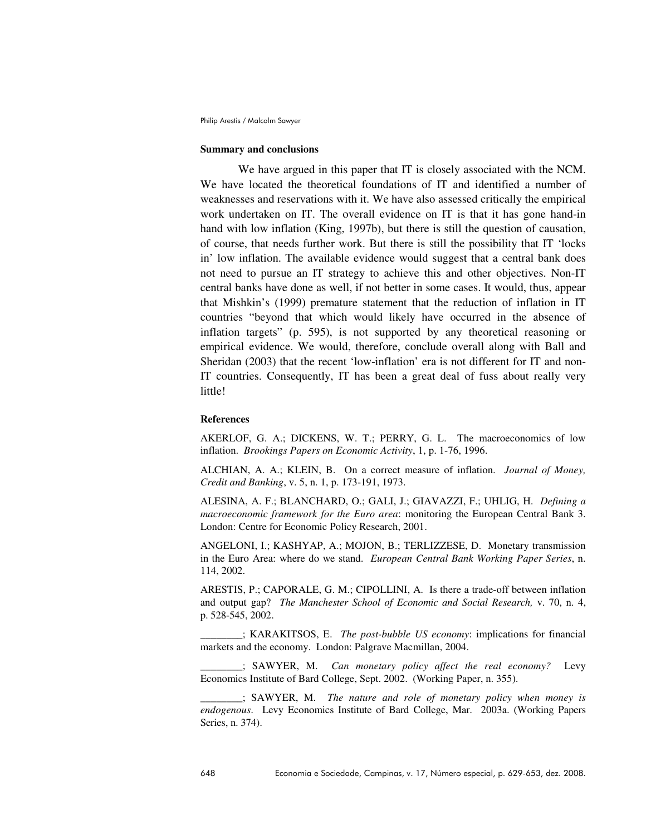### **Summary and conclusions**

We have argued in this paper that IT is closely associated with the NCM. We have located the theoretical foundations of IT and identified a number of weaknesses and reservations with it. We have also assessed critically the empirical work undertaken on IT. The overall evidence on IT is that it has gone hand-in hand with low inflation (King, 1997b), but there is still the question of causation, of course, that needs further work. But there is still the possibility that IT 'locks in' low inflation. The available evidence would suggest that a central bank does not need to pursue an IT strategy to achieve this and other objectives. Non-IT central banks have done as well, if not better in some cases. It would, thus, appear that Mishkin's (1999) premature statement that the reduction of inflation in IT countries "beyond that which would likely have occurred in the absence of inflation targets" (p. 595), is not supported by any theoretical reasoning or empirical evidence. We would, therefore, conclude overall along with Ball and Sheridan (2003) that the recent 'low-inflation' era is not different for IT and non-IT countries. Consequently, IT has been a great deal of fuss about really very little!

#### **References**

AKERLOF, G. A.; DICKENS, W. T.; PERRY, G. L. The macroeconomics of low inflation. *Brookings Papers on Economic Activity*, 1, p. 1-76, 1996.

ALCHIAN, A. A.; KLEIN, B. On a correct measure of inflation. *Journal of Money, Credit and Banking*, v. 5, n. 1, p. 173-191, 1973.

ALESINA, A. F.; BLANCHARD, O.; GALI, J.; GIAVAZZI, F.; UHLIG, H. *Defining a macroeconomic framework for the Euro area*: monitoring the European Central Bank 3. London: Centre for Economic Policy Research, 2001.

ANGELONI, I.; KASHYAP, A.; MOJON, B.; TERLIZZESE, D. Monetary transmission in the Euro Area: where do we stand. *European Central Bank Working Paper Series*, n. 114, 2002.

ARESTIS, P.; CAPORALE, G. M.; CIPOLLINI, A. Is there a trade-off between inflation and output gap? *The Manchester School of Economic and Social Research,* v. 70, n. 4, p. 528-545, 2002.

\_\_\_\_\_\_\_\_; KARAKITSOS, E. *The post-bubble US economy*: implications for financial markets and the economy. London: Palgrave Macmillan, 2004.

\_\_\_\_\_\_\_\_; SAWYER, M. *Can monetary policy affect the real economy?* Levy Economics Institute of Bard College, Sept. 2002. (Working Paper, n. 355).

\_\_\_\_\_\_\_\_; SAWYER, M. *The nature and role of monetary policy when money is endogenous*. Levy Economics Institute of Bard College, Mar. 2003a. (Working Papers Series, n. 374).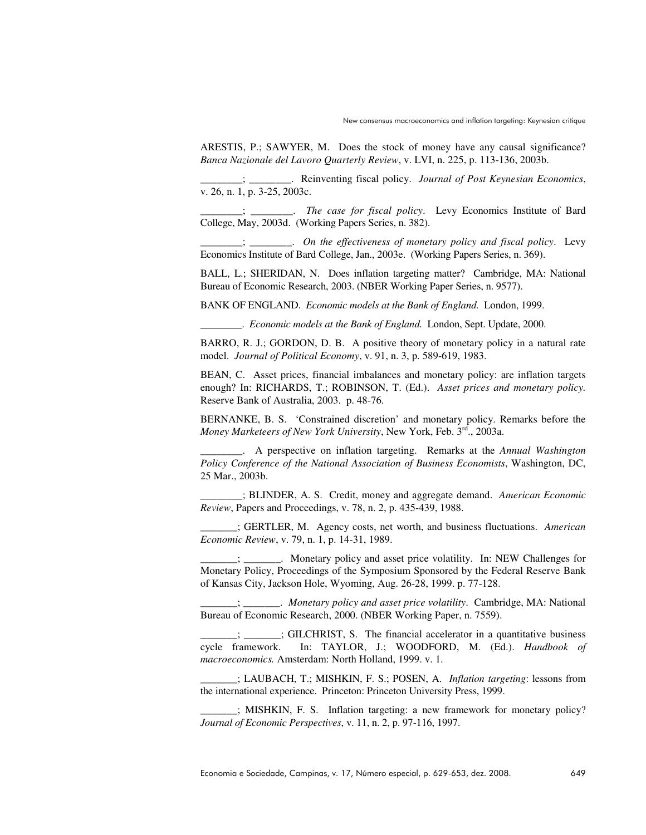ARESTIS, P.; SAWYER, M. Does the stock of money have any causal significance? *Banca Nazionale del Lavoro Quarterly Review*, v. LVI, n. 225, p. 113-136, 2003b.

\_\_\_\_\_\_\_\_; \_\_\_\_\_\_\_\_. Reinventing fiscal policy. *Journal of Post Keynesian Economics*, v. 26, n. 1, p. 3-25, 2003c.

\_\_\_\_\_\_\_\_; \_\_\_\_\_\_\_\_. *The case for fiscal policy*. Levy Economics Institute of Bard College, May, 2003d. (Working Papers Series, n. 382).

\_\_\_\_\_\_\_\_; \_\_\_\_\_\_\_\_. *On the effectiveness of monetary policy and fiscal policy*. Levy Economics Institute of Bard College, Jan., 2003e.(Working Papers Series, n. 369).

BALL, L.; SHERIDAN, N. Does inflation targeting matter? Cambridge, MA: National Bureau of Economic Research, 2003. (NBER Working Paper Series, n. 9577).

BANK OF ENGLAND. *Economic models at the Bank of England.* London, 1999.

\_\_\_\_\_\_\_\_. *Economic models at the Bank of England.* London, Sept. Update, 2000.

BARRO, R. J.; GORDON, D. B. A positive theory of monetary policy in a natural rate model. *Journal of Political Economy*, v. 91, n. 3, p. 589-619, 1983.

BEAN, C. Asset prices, financial imbalances and monetary policy: are inflation targets enough? In: RICHARDS, T.; ROBINSON, T. (Ed.). *Asset prices and monetary policy.* Reserve Bank of Australia, 2003. p. 48-76.

BERNANKE, B. S. 'Constrained discretion' and monetary policy. Remarks before the *Money Marketeers of New York University*, New York, Feb. 3rd., 2003a.

\_\_\_\_\_\_\_\_. A perspective on inflation targeting. Remarks at the *Annual Washington Policy Conference of the National Association of Business Economists*, Washington, DC, 25 Mar., 2003b.

\_\_\_\_\_\_\_\_; BLINDER, A. S. Credit, money and aggregate demand. *American Economic Review*, Papers and Proceedings, v. 78, n. 2, p. 435-439, 1988.

\_\_\_\_\_\_\_; GERTLER, M. Agency costs, net worth, and business fluctuations. *American Economic Review*, v. 79, n. 1, p. 14-31, 1989.

\_\_\_\_\_\_\_; \_\_\_\_\_\_\_. Monetary policy and asset price volatility. In: NEW Challenges for Monetary Policy, Proceedings of the Symposium Sponsored by the Federal Reserve Bank of Kansas City, Jackson Hole, Wyoming, Aug. 26-28, 1999. p. 77-128.

\_\_\_\_\_\_\_; \_\_\_\_\_\_\_. *Monetary policy and asset price volatility*. Cambridge, MA: National Bureau of Economic Research, 2000. (NBER Working Paper, n. 7559).

\_\_\_\_\_\_\_; \_\_\_\_\_\_\_; GILCHRIST, S. The financial accelerator in a quantitative business cycle framework. In: TAYLOR, J.; WOODFORD, M. (Ed.). *Handbook of macroeconomics.* Amsterdam: North Holland, 1999. v. 1.

\_\_\_\_\_\_\_; LAUBACH, T.; MISHKIN, F. S.; POSEN, A. *Inflation targeting*: lessons from the international experience. Princeton: Princeton University Press, 1999.

\_\_\_\_\_\_\_; MISHKIN, F. S. Inflation targeting: a new framework for monetary policy? *Journal of Economic Perspectives*, v. 11, n. 2, p. 97-116, 1997.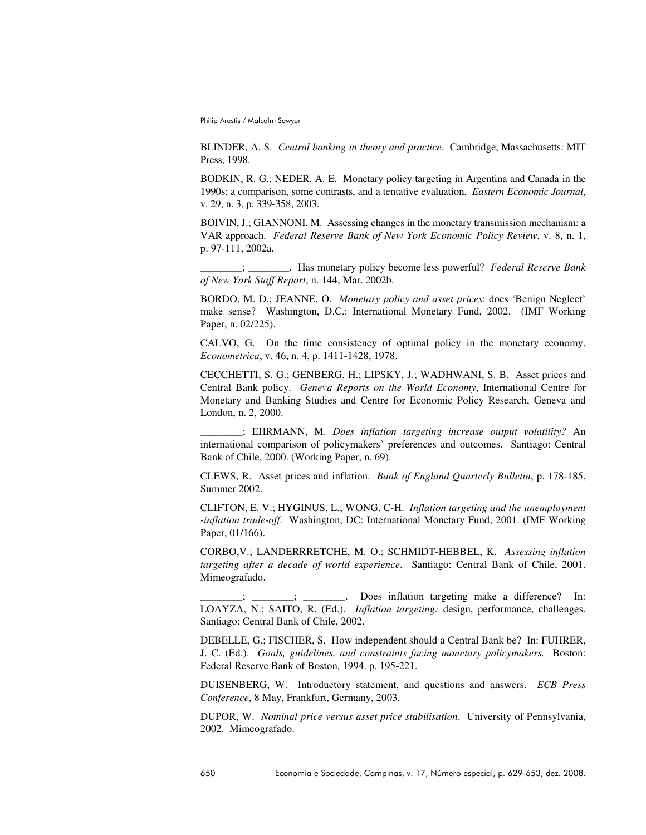BLINDER, A. S. *Central banking in theory and practice.* Cambridge, Massachusetts: MIT Press, 1998.

BODKIN, R. G.; NEDER, A. E. Monetary policy targeting in Argentina and Canada in the 1990s: a comparison, some contrasts, and a tentative evaluation. *Eastern Economic Journal*, v. 29, n. 3, p. 339-358, 2003.

BOIVIN, J.; GIANNONI, M. Assessing changes in the monetary transmission mechanism: a VAR approach. *Federal Reserve Bank of New York Economic Policy Review*, v. 8, n. 1, p. 97-111, 2002a.

\_\_\_\_\_\_\_\_; \_\_\_\_\_\_\_\_. Has monetary policy become less powerful? *Federal Reserve Bank of New York Staff Report*, n. 144, Mar. 2002b.

BORDO, M. D.; JEANNE, O. *Monetary policy and asset prices*: does 'Benign Neglect' make sense? Washington, D.C.: International Monetary Fund, 2002. (IMF Working Paper, n. 02/225).

CALVO, G. On the time consistency of optimal policy in the monetary economy. *Econometrica*, v. 46, n. 4, p. 1411-1428, 1978.

CECCHETTI, S. G.; GENBERG, H.; LIPSKY, J.; WADHWANI, S. B. Asset prices and Central Bank policy. *Geneva Reports on the World Economy*, International Centre for Monetary and Banking Studies and Centre for Economic Policy Research, Geneva and London, n. 2, 2000.

\_\_\_\_\_\_\_\_; EHRMANN, M. *Does inflation targeting increase output volatility?* An international comparison of policymakers' preferences and outcomes. Santiago: Central Bank of Chile, 2000. (Working Paper, n. 69).

CLEWS, R. Asset prices and inflation. *Bank of England Quarterly Bulletin*, p. 178-185, Summer 2002.

CLIFTON, E. V.; HYGINUS, L.; WONG, C-H. *Inflation targeting and the unemployment -inflation trade-off*. Washington, DC: International Monetary Fund, 2001. (IMF Working Paper, 01/166).

CORBO,V.; LANDERRRETCHE, M. O.; SCHMIDT-HEBBEL, K. *Assessing inflation targeting after a decade of world experience*. Santiago: Central Bank of Chile, 2001. Mimeografado.

\_\_\_\_\_\_\_\_; \_\_\_\_\_\_\_\_; \_\_\_\_\_\_\_\_. Does inflation targeting make a difference? In: LOAYZA, N.; SAITO, R. (Ed.). *Inflation targeting:* design, performance, challenges. Santiago: Central Bank of Chile, 2002.

DEBELLE, G.; FISCHER, S. How independent should a Central Bank be? In: FUHRER, J. C. (Ed.). *Goals, guidelines, and constraints facing monetary policymakers.* Boston: Federal Reserve Bank of Boston, 1994. p. 195-221.

DUISENBERG, W. Introductory statement, and questions and answers. *ECB Press Conference*, 8 May, Frankfurt, Germany, 2003.

DUPOR, W. *Nominal price versus asset price stabilisation*. University of Pennsylvania, 2002. Mimeografado.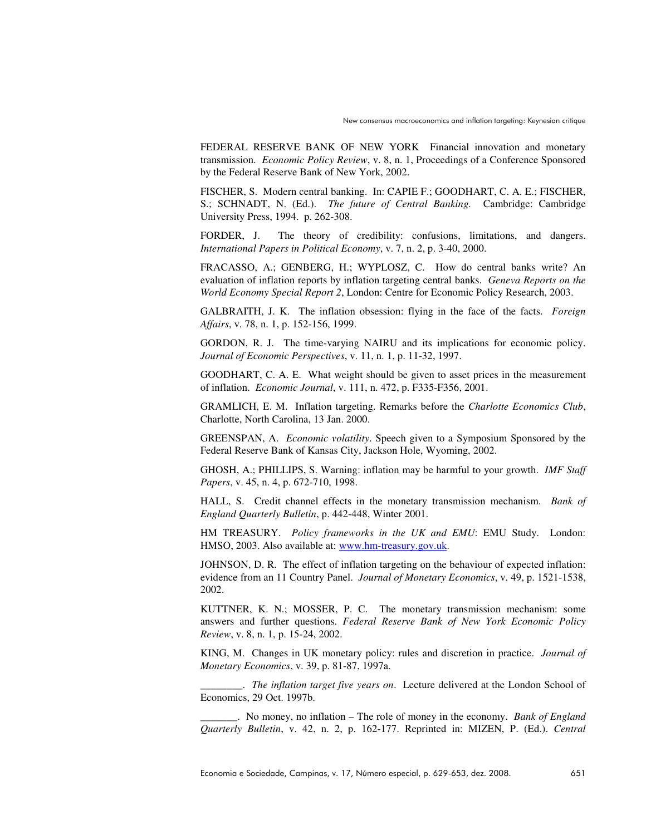FEDERAL RESERVE BANK OF NEW YORK Financial innovation and monetary transmission. *Economic Policy Review*, v. 8, n. 1, Proceedings of a Conference Sponsored by the Federal Reserve Bank of New York, 2002.

FISCHER, S. Modern central banking. In: CAPIE F.; GOODHART, C. A. E.; FISCHER, S.; SCHNADT, N. (Ed.). *The future of Central Banking.* Cambridge: Cambridge University Press, 1994. p. 262-308.

FORDER, J. The theory of credibility: confusions, limitations, and dangers. *International Papers in Political Economy*, v. 7, n. 2, p. 3-40, 2000.

FRACASSO, A.; GENBERG, H.; WYPLOSZ, C. How do central banks write? An evaluation of inflation reports by inflation targeting central banks. *Geneva Reports on the World Economy Special Report 2*, London: Centre for Economic Policy Research, 2003.

GALBRAITH, J. K. The inflation obsession: flying in the face of the facts. *Foreign Affairs*, v. 78, n. 1, p. 152-156, 1999.

GORDON, R. J. The time-varying NAIRU and its implications for economic policy. *Journal of Economic Perspectives*, v. 11, n. 1, p. 11-32, 1997.

GOODHART, C. A. E. What weight should be given to asset prices in the measurement of inflation. *Economic Journal*, v. 111, n. 472, p. F335-F356, 2001.

GRAMLICH, E. M. Inflation targeting. Remarks before the *Charlotte Economics Club*, Charlotte, North Carolina, 13 Jan. 2000.

GREENSPAN, A. *Economic volatility*. Speech given to a Symposium Sponsored by the Federal Reserve Bank of Kansas City, Jackson Hole, Wyoming, 2002.

GHOSH, A.; PHILLIPS, S. Warning: inflation may be harmful to your growth. *IMF Staff Papers*, v. 45, n. 4, p. 672-710, 1998.

HALL, S. Credit channel effects in the monetary transmission mechanism. *Bank of England Quarterly Bulletin*, p. 442-448, Winter 2001.

HM TREASURY. *Policy frameworks in the UK and EMU*: EMU Study. London: HMSO, 2003. Also available at: www.hm-treasury.gov.uk.

JOHNSON, D. R. The effect of inflation targeting on the behaviour of expected inflation: evidence from an 11 Country Panel. *Journal of Monetary Economics*, v. 49, p. 1521-1538, 2002.

KUTTNER, K. N.; MOSSER, P. C. The monetary transmission mechanism: some answers and further questions. *Federal Reserve Bank of New York Economic Policy Review*, v. 8, n. 1, p. 15-24, 2002.

KING, M. Changes in UK monetary policy: rules and discretion in practice. *Journal of Monetary Economics*, v. 39, p. 81-87, 1997a.

\_\_\_\_\_\_\_\_. *The inflation target five years on*. Lecture delivered at the London School of Economics, 29 Oct. 1997b.

\_\_\_\_\_\_\_. No money, no inflation – The role of money in the economy. *Bank of England Quarterly Bulletin*, v. 42, n. 2, p. 162-177. Reprinted in: MIZEN, P. (Ed.). *Central* 

Economia e Sociedade, Campinas, v. 17, Número especial, p. 629-653, dez. 2008. 651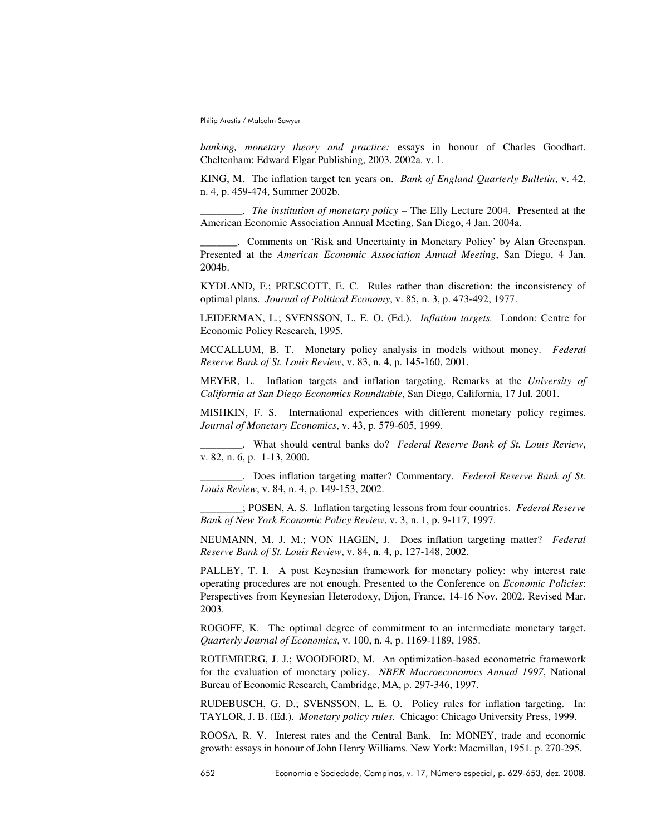*banking, monetary theory and practice:* essays in honour of Charles Goodhart. Cheltenham: Edward Elgar Publishing, 2003. 2002a. v. 1.

KING, M. The inflation target ten years on. *Bank of England Quarterly Bulletin*, v. 42, n. 4, p. 459-474, Summer 2002b.

\_\_\_\_\_\_\_\_. *The institution of monetary policy* – The Elly Lecture 2004. Presented at the American Economic Association Annual Meeting, San Diego, 4 Jan. 2004a.

\_\_\_\_\_\_\_. Comments on 'Risk and Uncertainty in Monetary Policy' by Alan Greenspan. Presented at the *American Economic Association Annual Meeting*, San Diego, 4 Jan. 2004b.

KYDLAND, F.; PRESCOTT, E. C. Rules rather than discretion: the inconsistency of optimal plans. *Journal of Political Economy*, v. 85, n. 3, p. 473-492, 1977.

LEIDERMAN, L.; SVENSSON, L. E. O. (Ed.). *Inflation targets.* London: Centre for Economic Policy Research, 1995.

MCCALLUM, B. T. Monetary policy analysis in models without money. *Federal Reserve Bank of St. Louis Review*, v. 83, n. 4, p. 145-160, 2001.

MEYER, L. Inflation targets and inflation targeting. Remarks at the *University of California at San Diego Economics Roundtable*, San Diego, California, 17 Jul. 2001.

MISHKIN, F. S. International experiences with different monetary policy regimes. *Journal of Monetary Economics*, v. 43, p. 579-605, 1999.

\_\_\_\_\_\_\_\_. What should central banks do? *Federal Reserve Bank of St. Louis Review*, v. 82, n. 6, p. 1-13, 2000.

\_\_\_\_\_\_\_\_. Does inflation targeting matter? Commentary. *Federal Reserve Bank of St. Louis Review*, v. 84, n. 4, p. 149-153, 2002.

\_\_\_\_\_\_\_\_; POSEN, A. S. Inflation targeting lessons from four countries. *Federal Reserve Bank of New York Economic Policy Review*, v. 3, n. 1, p. 9-117, 1997.

NEUMANN, M. J. M.; VON HAGEN, J. Does inflation targeting matter? *Federal Reserve Bank of St. Louis Review*, v. 84, n. 4, p. 127-148, 2002.

PALLEY, T. I. A post Keynesian framework for monetary policy: why interest rate operating procedures are not enough. Presented to the Conference on *Economic Policies*: Perspectives from Keynesian Heterodoxy, Dijon, France, 14-16 Nov. 2002. Revised Mar. 2003.

ROGOFF, K. The optimal degree of commitment to an intermediate monetary target. *Quarterly Journal of Economics*, v. 100, n. 4, p. 1169-1189, 1985.

ROTEMBERG, J. J.; WOODFORD, M. An optimization-based econometric framework for the evaluation of monetary policy. *NBER Macroeconomics Annual 1997*, National Bureau of Economic Research, Cambridge, MA, p. 297-346, 1997.

RUDEBUSCH, G. D.; SVENSSON, L. E. O. Policy rules for inflation targeting. In: TAYLOR, J. B. (Ed.). *Monetary policy rules.* Chicago: Chicago University Press, 1999.

ROOSA, R. V. Interest rates and the Central Bank. In: MONEY, trade and economic growth: essays in honour of John Henry Williams. New York: Macmillan, 1951. p. 270-295.